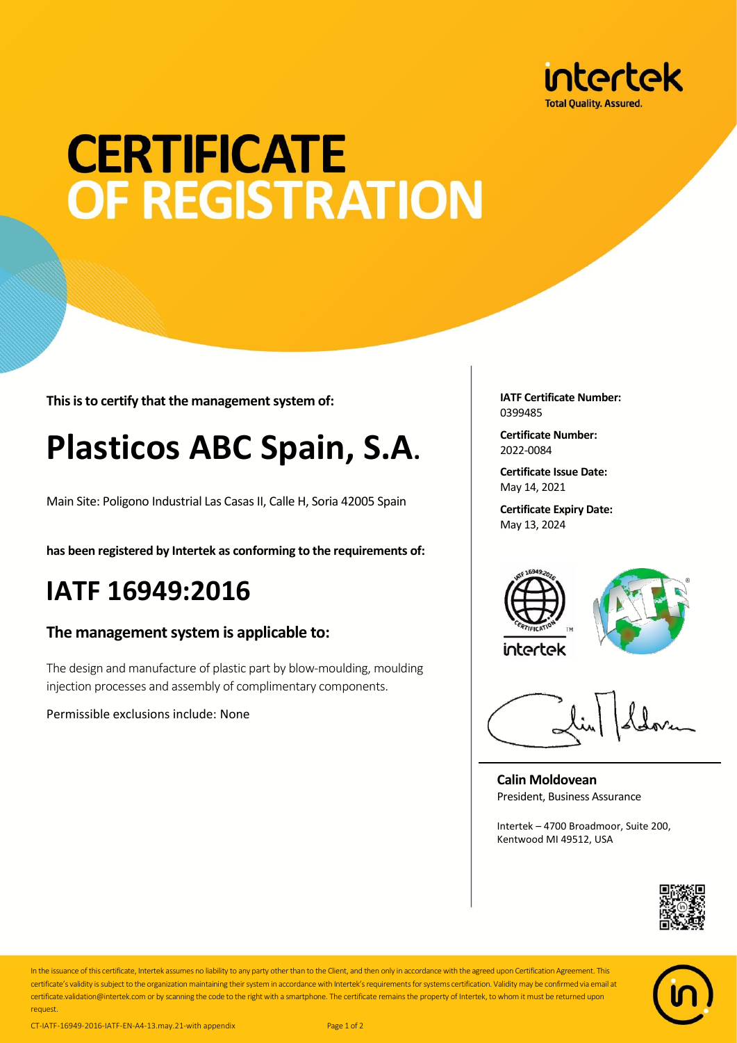

# **CERTIFICATE** OF REGISTRATION

**This is to certify that the management system of:**

## **Plasticos ABC Spain, S.A.**

Main Site: Poligono Industrial Las Casas II, Calle H, Soria 42005 Spain

**has been registered by Intertek as conforming to the requirements of:**

### **IATF 16949:2016**

#### **The management system is applicable to:**

The design and manufacture of plastic part by blow-moulding, moulding injection processes and assembly of complimentary components.

Permissible exclusions include: None

**IATF Certificate Number:** 0399485

**Certificate Number:** 2022-0084

**Certificate Issue Date:** May 14, 2021

**Certificate Expiry Date:** May 13, 2024





**Calin Moldovean** President, Business Assurance

Intertek – 4700 Broadmoor, Suite 200, Kentwood MI 49512, USA





In the issuance of this certificate, Intertek assumes no liability to any party other than to the Client, and then only in accordance with the agreed upon Certification Agreement. This certificate's validity is subject to the organization maintaining their system in accordance with Intertek's requirements for systems certification. Validity may be confirmed via email at certificate.validation@intertek.com or by scanning the code to the right with a smartphone. The certificate remains the property of Intertek, to whom it must be returned upon request.

CT-IATF-16949-2016-IATF-EN-A4-13.may.21-with appendix Page 1 of 2